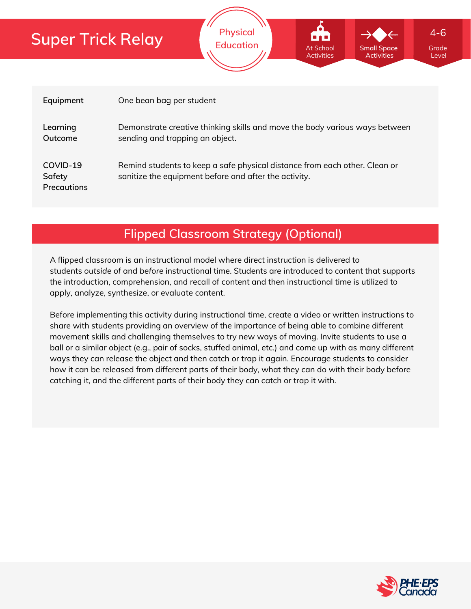| Equipment                                | One bean bag per student                                                                                                            |
|------------------------------------------|-------------------------------------------------------------------------------------------------------------------------------------|
| Learning<br>Outcome                      | Demonstrate creative thinking skills and move the body various ways between<br>sending and trapping an object.                      |
| COVID-19<br>Safety<br><b>Precautions</b> | Remind students to keep a safe physical distance from each other. Clean or<br>sanitize the equipment before and after the activity. |

**Physical**

**Education** At School Small Space Grade

At School Activities **Small Space Activities**

Level

4-6

**Flipped Classroom Strategy (Optional)**

A flipped classroom is an instructional model where direct instruction is delivered to students *outside of* and *before* instructional time. Students are introduced to content that supports the introduction, comprehension, and recall of content and then instructional time is utilized to apply, analyze, synthesize, or evaluate content.

Before implementing this activity during instructional time, create a video or written instructions to share with students providing an overview of the importance of being able to combine different movement skills and challenging themselves to try new ways of moving. Invite students to use a ball or a similar object (e.g., pair of socks, stuffed animal, etc.) and come up with as many different ways they can release the object and then catch or trap it again. Encourage students to consider how it can be released from different parts of their body, what they can do with their body before catching it, and the different parts of their body they can catch or trap it with.

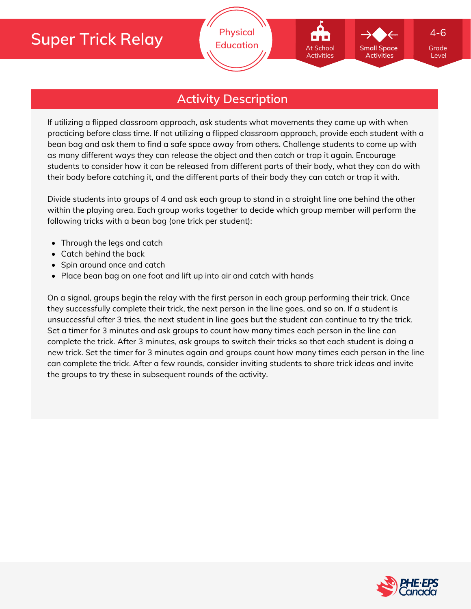

## **Activity Description**

If utilizing a flipped classroom approach, ask students what movements they came up with when practicing before class time. If not utilizing a flipped classroom approach, provide each student with a bean bag and ask them to find a safe space away from others. Challenge students to come up with as many different ways they can release the object and then catch or trap it again. Encourage students to consider how it can be released from different parts of their body, what they can do with their body before catching it, and the different parts of their body they can catch or trap it with.

Divide students into groups of 4 and ask each group to stand in a straight line one behind the other within the playing area. Each group works together to decide which group member will perform the following tricks with a bean bag (one trick per student):

- Through the legs and catch
- Catch behind the back
- Spin around once and catch
- Place bean bag on one foot and lift up into air and catch with hands

On a signal, groups begin the relay with the first person in each group performing their trick. Once they successfully complete their trick, the next person in the line goes, and so on. If a student is unsuccessful after 3 tries, the next student in line goes but the student can continue to try the trick. Set a timer for 3 minutes and ask groups to count how many times each person in the line can complete the trick. After 3 minutes, ask groups to switch their tricks so that each student is doing a new trick. Set the timer for 3 minutes again and groups count how many times each person in the line can complete the trick. After a few rounds, consider inviting students to share trick ideas and invite the groups to try these in subsequent rounds of the activity.

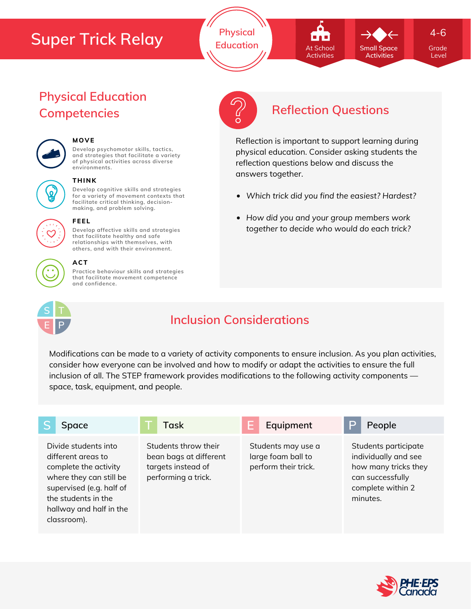**Physical Education Grade** At School **Grade** Small Space Grade

**Small Space** At School Activities

**Activities**

4-6

Level

# **Physical Education**



## **MOVE**

**Develop psychomotor skills, tactics, and strategies that facilitate a variety of physical activities across diverse environments.**



#### **THINK**

**Develop cognitive skills and strategies for a variety of movement contexts that facilitate critical thinking, decision making, and problem solving.**



#### **FEEL**

**Develop affective skills and strategies that facilitate healthy and safe relationships with themselves, with others, and with their environment.**

#### **ACT**

**Practice behaviour skills and strategies that facilitate movement competence and confidence.**



## **Inclusion Considerations**

Modifications can be made to a variety of activity components to ensure inclusion. As you plan activities, consider how everyone can be involved and how to modify or adapt the activities to ensure the full inclusion of all. The STEP framework provides modifications to the following activity components space, task, equipment, and people.

| Space                                                                                                                                                                                       | Task                                                                                        | Equipment                                                        | People                                                                                                                    |
|---------------------------------------------------------------------------------------------------------------------------------------------------------------------------------------------|---------------------------------------------------------------------------------------------|------------------------------------------------------------------|---------------------------------------------------------------------------------------------------------------------------|
| Divide students into<br>different greas to<br>complete the activity<br>where they can still be<br>supervised (e.g. half of<br>the students in the<br>hallway and half in the<br>classroom). | Students throw their<br>bean bags at different<br>targets instead of<br>performing a trick. | Students may use a<br>large foam ball to<br>perform their trick. | Students participate<br>individually and see<br>how many tricks they<br>can successfully<br>complete within 2<br>minutes. |





## **Competencies Reflection Questions**

Reflection is important to support learning during physical education. Consider asking students the reflection questions below and discuss the answers together.

- *Which trick did you find the easiest? Hardest?*
- *How did you and your group members work together to decide who would do each trick?*